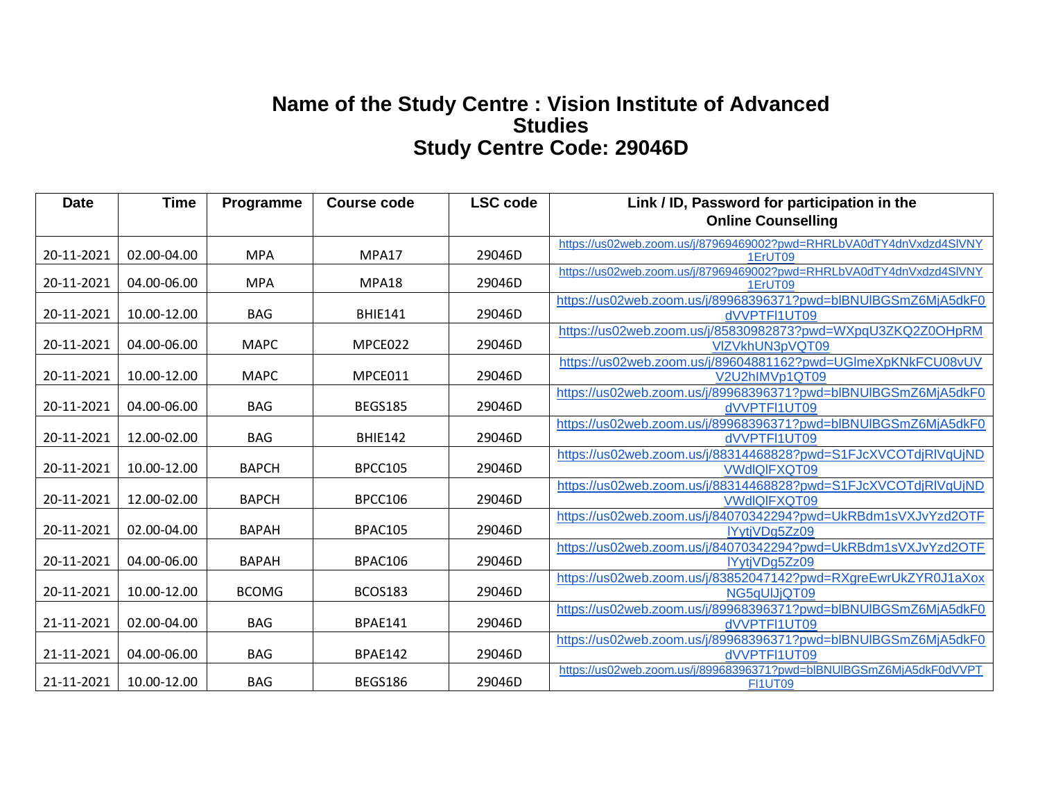## **Name of the Study Centre : Vision Institute of Advanced Studies Study Centre Code: 29046D**

| <b>Date</b> | <b>Time</b> | Programme    | <b>Course code</b> | <b>LSC code</b> | Link / ID, Password for participation in the                                          |
|-------------|-------------|--------------|--------------------|-----------------|---------------------------------------------------------------------------------------|
|             |             |              |                    |                 | <b>Online Counselling</b>                                                             |
|             |             |              |                    |                 | https://us02web.zoom.us/j/87969469002?pwd=RHRLbVA0dTY4dnVxdzd4SIVNY                   |
| 20-11-2021  | 02.00-04.00 | <b>MPA</b>   | MPA17              | 29046D          | 1ErUT09                                                                               |
| 20-11-2021  | 04.00-06.00 | <b>MPA</b>   | MPA18              | 29046D          | https://us02web.zoom.us/j/87969469002?pwd=RHRLbVA0dTY4dnVxdzd4SIVNY<br>1ErUT09        |
|             |             |              |                    |                 | https://us02web.zoom.us/j/89968396371?pwd=blBNUIBGSmZ6MjA5dkF0                        |
| 20-11-2021  | 10.00-12.00 | <b>BAG</b>   | <b>BHIE141</b>     | 29046D          | dVVPTFI1UT09                                                                          |
|             |             |              |                    |                 | https://us02web.zoom.us/j/85830982873?pwd=WXpqU3ZKQ2Z0OHpRM                           |
| 20-11-2021  | 04.00-06.00 | <b>MAPC</b>  | MPCE022            | 29046D          | VIZVkhUN3pVQT09                                                                       |
| 20-11-2021  | 10.00-12.00 | <b>MAPC</b>  | MPCE011            | 29046D          | https://us02web.zoom.us/j/89604881162?pwd=UGImeXpKNkFCU08vUV<br>V2U2hIMVp1QT09        |
|             |             |              |                    |                 | https://us02web.zoom.us/j/89968396371?pwd=blBNUIBGSmZ6MjA5dkF0                        |
| 20-11-2021  | 04.00-06.00 | <b>BAG</b>   | <b>BEGS185</b>     | 29046D          | dVVPTFI1UT09                                                                          |
|             |             |              |                    |                 | https://us02web.zoom.us/j/89968396371?pwd=blBNUIBGSmZ6MjA5dkF0                        |
| 20-11-2021  | 12.00-02.00 | <b>BAG</b>   | <b>BHIE142</b>     | 29046D          | dVVPTFI1UT09                                                                          |
|             |             |              |                    |                 | https://us02web.zoom.us/j/88314468828?pwd=S1FJcXVCOTdjRIVqUjND                        |
| 20-11-2021  | 10.00-12.00 | <b>BAPCH</b> | <b>BPCC105</b>     | 29046D          | <b>VWdIQIFXQT09</b>                                                                   |
|             |             |              |                    |                 | https://us02web.zoom.us/j/88314468828?pwd=S1FJcXVCOTdjRIVqUjND                        |
| 20-11-2021  | 12.00-02.00 | <b>BAPCH</b> | <b>BPCC106</b>     | 29046D          | <b>VWdIQIFXQT09</b>                                                                   |
| 20-11-2021  | 02.00-04.00 | <b>BAPAH</b> | <b>BPAC105</b>     | 29046D          | https://us02web.zoom.us/j/84070342294?pwd=UkRBdm1sVXJvYzd2OTF                         |
|             |             |              |                    |                 | IYytiVDq5Zz09<br>https://us02web.zoom.us/j/84070342294?pwd=UkRBdm1sVXJvYzd2OTF        |
| 20-11-2021  | 04.00-06.00 | <b>BAPAH</b> | BPAC106            | 29046D          | IYytjVDg5Zz09                                                                         |
|             |             |              |                    |                 | https://us02web.zoom.us/j/83852047142?pwd=RXgreEwrUkZYR0J1aXox                        |
| 20-11-2021  | 10.00-12.00 | <b>BCOMG</b> | <b>BCOS183</b>     | 29046D          | NG5qUIJjQT09                                                                          |
|             |             |              |                    |                 | https://us02web.zoom.us/j/89968396371?pwd=blBNUIBGSmZ6MjA5dkF0                        |
| 21-11-2021  | 02.00-04.00 | <b>BAG</b>   | <b>BPAE141</b>     | 29046D          | dVVPTFI1UT09                                                                          |
|             |             |              |                    |                 | https://us02web.zoom.us/j/89968396371?pwd=blBNUIBGSmZ6MjA5dkF0                        |
| 21-11-2021  | 04.00-06.00 | <b>BAG</b>   | <b>BPAE142</b>     | 29046D          | dVVPTFI1UT09                                                                          |
| 21-11-2021  | 10.00-12.00 | <b>BAG</b>   | <b>BEGS186</b>     | 29046D          | https://us02web.zoom.us/j/89968396371?pwd=blBNUIBGSmZ6MjA5dkF0dVVPT<br><b>FI1UT09</b> |